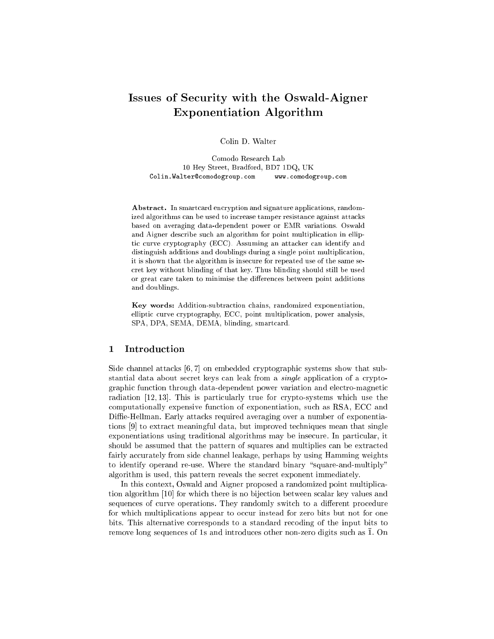# Issues of Se
urity with the Oswald-Aigner Exponentiation Algorithm

Colin D. Walter

Comodo Resear
h Lab 10 Hey Street, Bradford, BD7 1DQ, UK Colin.Walter@comodogroup.com www.comodogroup.com

Abstract. In smartcard encryption and signature applications, randomized algorithms can be used to increase tamper resistance against attacks based on averaging data-dependent power or EMR variations. Oswald and Aigner describe such an algorithm for point multiplication in elliptic curve cryptography (ECC). Assuming an attacker can identify and distinguish additions and doublings during a single point multiplication, it is shown that the algorithm is inse
ure for repeated use of the same se ret key without blinding of that key. Thus blinding should still be used or great care taken to minimise the differences between point additions and doublings.

Key words: Addition-subtraction chains, randomized exponentiation, elliptic curve cryptography, ECC, point multiplication, power analysis, SPA, DPA, SEMA, DEMA, blinding, smart
ard.

# 1 Introdu
tion

Side channel attacks  $[6, 7]$  on embedded cryptographic systems show that substantial data about secret keys can leak from a *single* application of a cryptographi fun
tion through data-dependent power variation and ele
tro-magneti radiation  $[12, 13]$ . This is particularly true for crypto-systems which use the omputationally expensive fun
tion of exponentiation, su
h as RSA, ECC and Diffie-Hellman. Early attacks required averaging over a number of exponentiations [9] to extract meaningful data, but improved techniques mean that single exponentiations using traditional algorithms may be insecure. In particular, it should be assumed that the pattern of squares and multiplies can be extracted fairly accurately from side channel leakage, perhaps by using Hamming weights to identify operand re-use. Where the standard binary "square-and-multiply" algorithm is used, this pattern reveals the secret exponent immediately.

In this context, Oswald and Aigner proposed a randomized point multiplication algorithm [10] for which there is no bijection between scalar key values and sequences of curve operations. They randomly switch to a different procedure for whi
h multipli
ations appear to o

ur instead for zero bits but not for one bits. This alternative orresponds to a standard re
oding of the input bits to remove long sequen
es of 1s and introdu
es other non-zero digits su
h as 1. On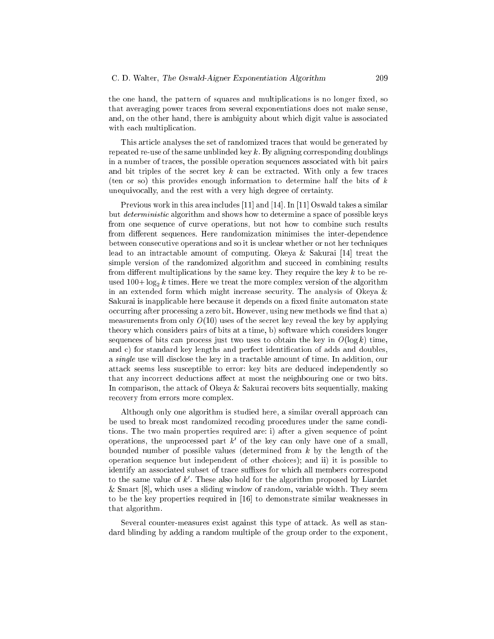the one hand, the pattern of squares and multiplications is no longer fixed, so that averaging power tra
es from several exponentiations does not make sense, and, on the other hand, there is ambiguity about whi
h digit value is asso
iated with each multiplication.

This arti
le analyses the set of randomized tra
es that would be generated by repeated re-use of the same unblinded key  $k$ . By aligning corresponding doublings in a number of tra
es, the possible operation sequen
es asso
iated with bit pairs and bit triples of the secret key  $k$  can be extracted. With only a few traces (ten or so) this provides enough information to determine half the bits of  $k$ unequivocally, and the rest with a very high degree of certainty.

Previous work in this area includes  $[11]$  and  $[14]$ . In  $[11]$  Oswald takes a similar but *deterministic* algorithm and shows how to determine a space of possible keys from one sequence of curve operations, but not how to combine such results from different sequences. Here randomization minimises the inter-dependence between consecutive operations and so it is unclear whether or not her techniques lead to an intractable amount of computing. Okeya & Sakurai [14] treat the simple version of the randomized algorithm and succeed in combining results from different multiplications by the same key. They require the key  $k$  to be reused  $100 + \log_2 k$  times. Here we treat the more complex version of the algorithm in an extended form whi
h might in
rease se
urity. The analysis of Okeya & Sakurai is inapplicable here because it depends on a fixed finite automaton state occurring after processing a zero bit. However, using new methods we find that a) measurements from only  $O(10)$  uses of the secret key reveal the key by applying theory whi
h onsiders pairs of bits at a time, b) software whi
h onsiders longer sequences of bits can process just two uses to obtain the key in  $O(\log k)$  time, and c) for standard key lengths and perfect identification of adds and doubles, a single use will dis
lose the key in a tra
table amount of time. In addition, our atta
k seems less sus
eptible to error: key bits are dedu
ed independently so that any incorrect deductions affect at most the neighbouring one or two bits. In comparison, the attack of Okeya & Sakurai recovers bits sequentially, making recovery from errors more complex.

Although only one algorithm is studied here, a similar overall approach can be used to break most randomized re
oding pro
edures under the same onditions. The two main properties required are: i) after a given sequen
e of point operations, the unprocessed part  $k'$  of the key can only have one of a small, bounded number of possible values (determined from  $k$  by the length of the operation sequen
e but independent of other hoi
es); and ii) it is possible to identify an associated subset of trace suffixes for which all members correspond to the same value of  $k'$ . These also hold for the algorithm proposed by Liardet  $&$  Smart [8], which uses a sliding window of random, variable width. They seem to be the key properties required in [16] to demonstrate similar weaknesses in that algorithm.

Several counter-measures exist against this type of attack. As well as standard blinding by adding a random multiple of the group order to the exponent,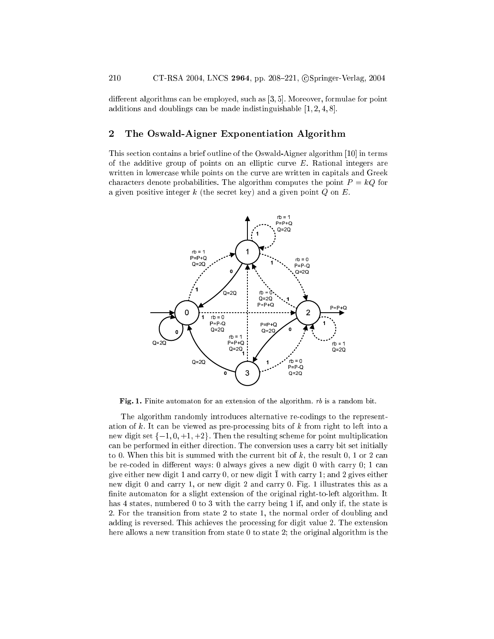different algorithms can be employed, such as [3,5]. Moreover, formulae for point additions and doublings can be made indistinguishable  $[1, 2, 4, 8]$ .

# 2 The Oswald-Aigner Exponentiation Algorithm

This section contains a brief outline of the Oswald-Aigner algorithm [10] in terms of the additive group of points on an elliptic curve  $E$ . Rational integers are written in lowercase while points on the curve are written in capitals and Greek characters denote probabilities. The algorithm computes the point  $P = kQ$  for a given positive integer  $k$  (the secret key) and a given point  $Q$  on  $E$ .



Fig. 1. Finite automaton for an extension of the algorithm. rb is a random bit.

The algorithm randomly introdu
es alternative reodings to the representation of  $k$ . It can be viewed as pre-processing bits of  $k$  from right to left into a new digit set  $\{-1, 0, +1, +2\}$ . Then the resulting scheme for point multiplication an be performed in either dire
tion. The onversion uses a arry bit set initially to 0. When this bit is summed with the current bit of  $k$ , the result  $0, 1$  or  $2$  can be re-coded in different ways: 0 always gives a new digit 0 with carry  $0; 1$  can give either new digit 1 and carry 0, or new digit  $\overline{1}$  with carry 1; and 2 gives either new digit 0 and arry 1, or new digit 2 and arry 0. Fig. 1 illustrates this as a finite automaton for a slight extension of the original right-to-left algorithm. It has 4 states, numbered 0 to 3 with the carry being 1 if, and only if, the state is 2. For the transition from state 2 to state 1, the normal order of doubling and adding is reversed. This a
hieves the pro
essing for digit value 2. The extension here allows a new transition from state 0 to state 2; the original algorithm is the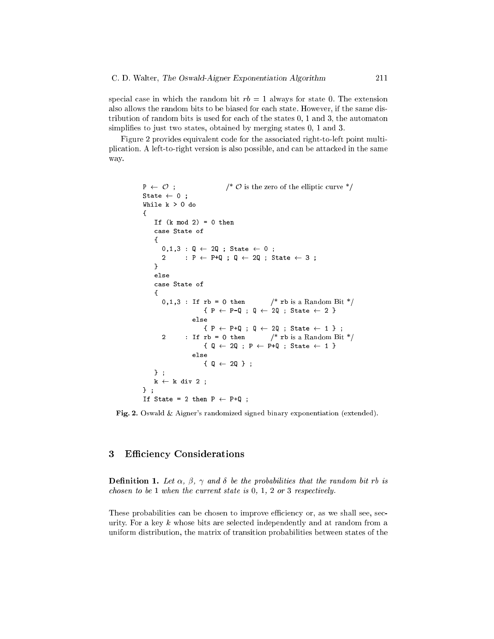special case in which the random bit  $rb = 1$  always for state 0. The extension also allows the random bits to be biased for each state. However, if the same distribution of random bits is used for each of the states  $0$ , 1 and 3, the automaton simplifies to just two states, obtained by merging states  $0$ , 1 and 3.

Figure 2 provides equivalent code for the associated right-to-left point multiplication. A left-to-right version is also possible, and can be attacked in the same way

```
/* \mathcal{O} is the zero of the elliptic curve */
P \leftarrow O;
State \leftarrow 0;
While k > 0 do
€
     If (k \mod 2) = 0 then
     case State of
     \mathcal{L}0,1,3 : Q \leftarrow 2Q ; State \leftarrow 0 ;
                 : P \leftarrow P+Q; Q \leftarrow 2Q; State \leftarrow 3;
         2<sup>1</sup>\mathcal{F}else
     case State of
      €
         0,1,3 : If rb = 0 then /*rb is a Random Bit */{P \leftarrow P-Q ; Q \leftarrow 2Q ; State \leftarrow 2}else
                              \begin{array}{ccccccccc} \{ & P & \leftarrow & P \texttt{+Q} & ; & \texttt{Q} & \leftarrow & 2\texttt{Q} & ; & \texttt{State} & \leftarrow & 1 ~\} & ; \end{array}: If rb = 0 then /* rb is a Random Bit */\overline{2}\begin{array}{ccccccccc} \{ & \mathbb{Q} & \leftarrow & 2\mathbb{Q} & ; & \mathbb{P} & \leftarrow & \mathbb{P} + \mathbb{Q} & ; & \text{State} & \leftarrow & 1 \end{array} \}else
                              {0 \leftarrow 20};
     \} ;
     k \leftarrow k div 2 ;
\} :
If State = 2 then P \leftarrow P+Q;
```
Fig. 2. Oswald & Aigner's randomized signed binary exponentiation (extended).

### 3 **Efficiency Considerations**

**Definition 1.** Let  $\alpha$ ,  $\beta$ ,  $\gamma$  and  $\delta$  be the probabilities that the random bit rb is chosen to be 1 when the current state is  $0, 1, 2$  or 3 respectively.

These probabilities can be chosen to improve efficiency or, as we shall see, security. For a key  $k$  whose bits are selected independently and at random from a uniform distribution, the matrix of transition probabilities between states of the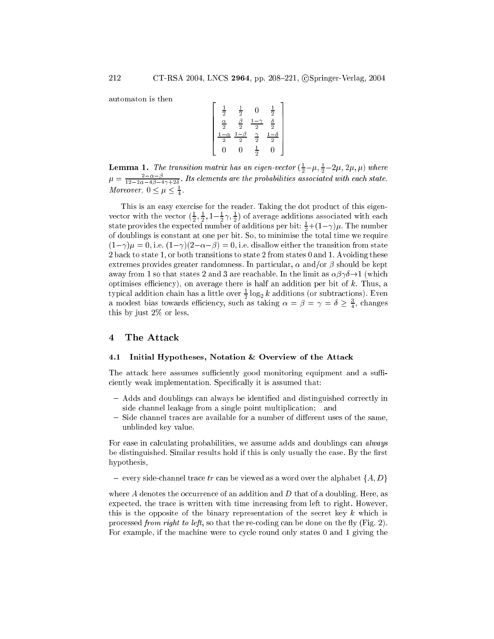automaton is then

$$
\begin{bmatrix}\n\frac{1}{2} & \frac{1}{2} & 0 & \frac{1}{2} \\
\frac{\alpha}{2} & \frac{\beta}{2} & \frac{1-\gamma}{2} & \frac{\delta}{2} \\
\frac{1-\alpha}{2} & \frac{1-\beta}{2} & \frac{\gamma}{2} & \frac{1-\delta}{2} \\
0 & 0 & \frac{1}{2} & 0\n\end{bmatrix}
$$

**Lemma 1.** The transition matrix has an eigen-vector  $(\frac{1}{2} - \mu, \frac{1}{2} - 2\mu, 2\mu, \mu)$  where  $\mu = \frac{2-\alpha-\beta}{12-2\alpha-4\beta-4\gamma+2\delta}$ . Its elements are the probabilities associated with each state.<br>Moreover,  $0 \le \mu \le \frac{1}{4}$ .

This is an easy exercise for the reader. Taking the dot product of this eigenvector with the vector  $(\frac{1}{2}, \frac{1}{2}, 1-\frac{1}{2}\gamma, \frac{1}{2})$  of average additions associated with each state provides the expected number of additions per bit:  $\frac{1}{2} + (1 - \gamma)\mu$ . The number of doublings is constant at one per bit. So, to minimise the total time we require  $(1-\gamma)\mu = 0$ , i.e.  $(1-\gamma)(2-\alpha-\beta) = 0$ , i.e. disallow either the transition from state 2 back to state 1, or both transitions to state 2 from states 0 and 1. Avoiding these extremes provides greater randomness. In particular,  $\alpha$  and/or  $\beta$  should be kept away from 1 so that states 2 and 3 are reachable. In the limit as  $\alpha\beta\gamma\delta\rightarrow 1$  (which optimises efficiency), on average there is half an addition per bit of  $k$ . Thus, a typical addition chain has a little over  $\frac{1}{2} \log_2 k$  additions (or subtractions). Even a modest bias towards efficiency, such as taking  $\alpha = \beta = \gamma = \delta \geq \frac{3}{4}$ , changes this by just  $2\%$  or less

### The Attack  $\overline{\mathbf{4}}$

#### 4.1 Initial Hypotheses, Notation & Overview of the Attack

The attack here assumes sufficiently good monitoring equipment and a sufficiently weak implementation. Specifically it is assumed that:

- Adds and doublings can always be identified and distinguished correctly in side channel leakage from a single point multiplication; and
- Side channel traces are available for a number of different uses of the same, unblinded key value.

For ease in calculating probabilities, we assume adds and doublings can *always* be distinguished. Similar results hold if this is only usually the case. By the first hypothesis,

- every side-channel trace tr can be viewed as a word over the alphabet  $\{A, D\}$ 

where A denotes the occurrence of an addition and  $D$  that of a doubling. Here, as expected, the trace is written with time increasing from left to right. However, this is the opposite of the binary representation of the secret key  $k$  which is processed from right to left, so that the re-coding can be done on the fly (Fig. 2). For example, if the machine were to cycle round only states 0 and 1 giving the

212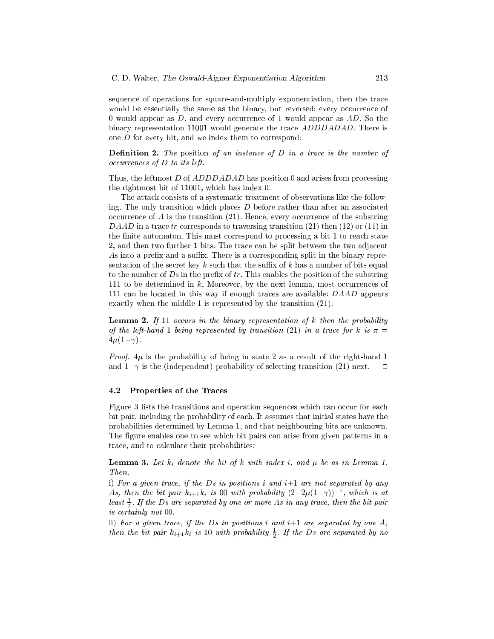sequence of operations for square-and-multiply exponentiation, then the trace would be essentially the same as the binary, but reversed: every occurrence of 0 would appear as  $D$ , and every occurrence of 1 would appear as  $AD$ . So the binary representation 11001 would generate the trace *ADDDADAD*. There is one  $D$  for every bit, and we index them to correspond:

**Definition 2.** The position of an instance of  $D$  in a trace is the number of occurrences of D to its left.

Thus, the leftmost D of ADDDADAD has position 0 and arises from processing the rightmost bit of 11001, whi
h has index 0.

The attack consists of a systematic treatment of observations like the following. The only transition which places  $D$  before rather than after an associated occurrence of  $A$  is the transition  $(21)$ . Hence, every occurrence of the substring DAAD in a trace tr corresponds to traversing transition (21) then (12) or (11) in the finite automaton. This must correspond to processing a bit 1 to reach state 2, and then two further 1 bits. The trace can be split between the two adjacent As into a prefix and a suffix. There is a corresponding split in the binary representation of the secret key k such that the suffix of k has a number of bits equal to the number of  $D\mathbf{s}$  in the prefix of tr. This enables the position of the substring 111 to be determined in  $k$ . Moreover, by the next lemma, most occurrences of 111 an be lo
ated in this way if enough tra
es are available: DAAD appears exa
tly when the middle 1 is represented by the transition (21).

**Lemma 2.** If 11 occurs in the binary representation of k then the probability of the left-hand 1 being represented by transition (21) in a trace for k is  $\pi =$  $4\mu(1-\gamma)$ .

*Proof.*  $4\mu$  is the probability of being in state 2 as a result of the right-hand 1 and  $1-\gamma$  is the (independent) probability of selecting transition (21) next.  $\Box$ 

### 4.2 Properties of the Tra
es

Figure 3 lists the transitions and operation sequences which can occur for each bit pair, in
luding the probability of ea
h. It assumes that initial states have the probabilities determined by Lemma 1, and that neighbouring bits are unknown. The figure enables one to see which bit pairs can arise from given patterns in a trace, and to calculate their probabilities:

**Lemma 3.** Let  $k_i$  denote the bit of k with index i, and  $\mu$  be as in Lemma 1. Then,

i) For a given trace, if the Ds in positions i and  $i+1$  are not separated by any As, then the bit pair  $k_{i+1}k_i$  is 00 with probability  $(2-2\mu(1-\gamma))^{-1}$ , which is at least  $\frac{1}{2}$ . If the Ds are separated by one or more As in any trace, then the bit pair is ertainly not 00.

ii) For a given trace, if the Ds in positions i and  $i+1$  are separated by one A, then the bit pair  $k_{i+1}k_i$  is 10 with probability  $\frac{1}{2}$ . If the Ds are separated by no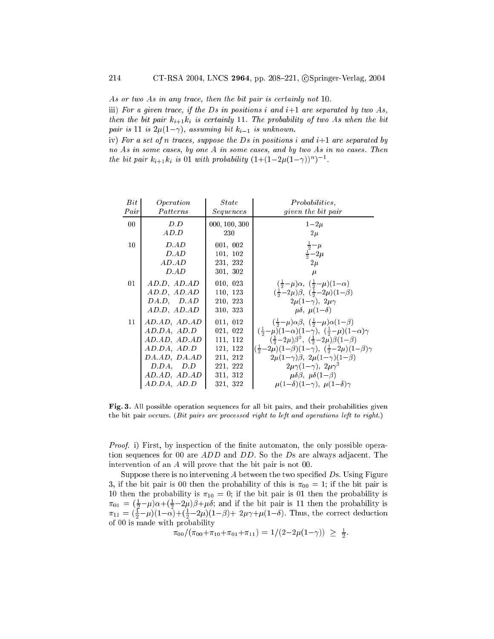As or two As in any trace, then the bit pair is certainly not 10.

iii) For a given trace, if the Ds in positions i and  $i+1$  are separated by two As, then the bit pair  $k_{i+1}k_i$  is certainly 11. The probability of two As when the bit pair is 11 is  $2\mu(1-\gamma)$ , assuming bit  $k_{i-1}$  is unknown.

iv) For a set of n traces, suppose the Ds in positions i and  $i+1$  are separated by no As in some cases, by one A in some cases, and by two As in no cases. Then the bit pair  $k_{i+1}k_i$  is 01 with probability  $(1+(1-2\mu(1-\gamma))^n)^{-1}$ .

| Bit             | Operation             | <i>State</i>  | <i>Probabilities</i> ,                                                                             |
|-----------------|-----------------------|---------------|----------------------------------------------------------------------------------------------------|
| Pair            | Patterns              | Sequences     | <i>given the bit pair</i>                                                                          |
| 0 <sub>0</sub>  | D.D                   | 000, 100, 300 | $1 - 2\mu$                                                                                         |
|                 | AD.D                  | 230           | $2\mu$                                                                                             |
| 10 <sup>°</sup> | D.AD                  | 001, 002      | $rac{1}{2} - \mu$                                                                                  |
|                 | D.AD                  | 101, 102      | $\frac{1}{2} - 2\mu$                                                                               |
|                 | $AD$ . $AD$           | 231, 232      | $2\mu$                                                                                             |
|                 | D.AD                  | 301, 302      | $\mu$                                                                                              |
| 01              | AD.D, AD.AD           | 010, 023      | $(\frac{1}{2}-\mu)\alpha$ , $(\frac{1}{2}-\mu)(1-\alpha)$                                          |
|                 | AD.D, AD.AD           | 110, 123      | $(\frac{1}{2}-2\mu)\beta$ , $(\frac{1}{2}-2\mu)(1-\beta)$                                          |
|                 | $DA.D.$ $D.AD$        | 210, 223      | $2\mu(1-\gamma)$ , $2\mu\gamma$                                                                    |
|                 | AD.D, AD.AD           | 310, 323      | $\mu\delta$ , $\mu(1-\delta)$                                                                      |
| $11\,$          | $AD$ $AD$ , $AD$ $AD$ | 011, 012      | $\left(\frac{1}{2}-\mu\right)\alpha\beta$ , $\left(\frac{1}{2}-\mu\right)\alpha(1-\beta)$          |
|                 | AD.DA, AD.D           | 021, 022      | $\left(\frac{1}{2}-\mu\right)(1-\alpha)(1-\gamma), \ \left(\frac{1}{2}-\mu\right)(1-\alpha)\gamma$ |
|                 | AD.AD, AD.AD          | 111, 112      | $(\frac{1}{2}-2\mu)\beta^2$ , $(\frac{1}{2}-2\mu)\beta(1-\beta)$                                   |
|                 | AD.DA, AD.D           | 121, 122      | $(\frac{1}{2}-2\mu)(1-\beta)(1-\gamma), (\frac{1}{2}-2\mu)(1-\beta)\gamma$                         |
|                 | $DA$ $AD$ , $DA$ $AD$ | 211, 212      | $2\mu(1-\gamma)\beta$ , $2\mu(1-\gamma)(1-\beta)$                                                  |
|                 | D.DA, D.D             | 221, 222      | $2\mu\gamma(1-\gamma)$ , $2\mu\gamma^2$                                                            |
|                 | $AD$ $AD$ , $AD$ $AD$ | 311, 312      | $\mu\delta\beta$ , $\mu\delta(1-\beta)$                                                            |
|                 | AD.DA, AD.D           | 321, 322      | $\mu(1-\delta)(1-\gamma), \mu(1-\delta)\gamma$                                                     |

Fig. 3. All possible operation sequences for all bit pairs, and their probabilities given the bit pair occurs. (Bit pairs are processed right to left and operations left to right.)

*Proof.* i) First, by inspection of the finite automaton, the only possible operation sequences for 00 are  $ADD$  and  $DD$ . So the Ds are always adjacent. The intervention of an  $A$  will prove that the bit pair is not 00.

Suppose there is no intervening A between the two specified  $D$ s. Using Figure 3, if the bit pair is 00 then the probability of this is  $\pi_{00} = 1$ ; if the bit pair is 10 then the probability is  $\pi_{10} = 0$ ; if the bit pair is 01 then the probability is  $\pi_{01} = (\frac{1}{2} - \mu)\alpha + (\frac{1}{2} - 2\mu)\beta + \mu\delta$ ; and if the bit pair is 11 then the probability is  $\pi_{11} = (\frac{1}{2} - \mu)(1 - \alpha) + (\frac{1}{2} - 2\mu)(1 - \beta) + 2\mu\gamma + \mu(1 - \delta)$ . Thus, the correct deduction of 00 is made with probability

 $\pi_{00}/(\pi_{00}+\pi_{10}+\pi_{01}+\pi_{11}) = 1/(2-2\mu(1-\gamma)) \geq \frac{1}{2}.$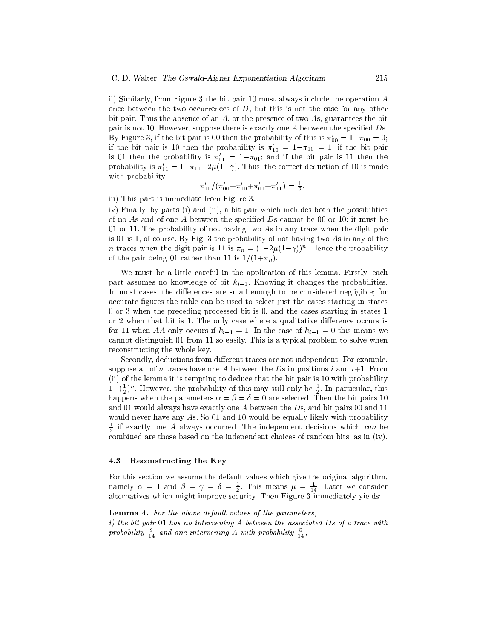ii) Similarly, from Figure 3 the bit pair 10 must always in
lude the operation A once between the two occurrences of  $D$ , but this is not the case for any other bit pair. Thus the absen
e of an A, or the presen
e of two As, guarantees the bit pair is not 10. However, suppose there is exactly one  $A$  between the specified  $D$ s. By Figure 3, if the bit pair is 00 then the probability of this is  $\pi_{00} = 1 - \pi_{00} = 0;$ if the bit pair is 10 then the probability is  $\pi_{10}^+ = 1 - \pi_{10}^+ = 1;$  if the bit pair is 01 then the probability is  $\pi_{01}\,=\, 1\!-\!\pi_{01};$  and if the bit pair is 11 then the probability is  $\pi_{11} = 1 - \pi_{11} - 2 \mu (1 - \gamma)$ . Thus, the correct deduction of 10 is made with probability

$$
\pi'_{10}/(\pi'_{00}+\pi'_{10}+\pi'_{01}+\pi'_{11}) = \frac{1}{2}.
$$

iii) This part is immediate from Figure 3.

iv) Finally, by parts (i) and (ii), a bit pair whi
h in
ludes both the possibilities of no As and of one A between the specified Ds cannot be 00 or 10; it must be 01 or 11. The probability of not having two As in any tra
e when the digit pair is 01 is 1, of ourse. By Fig. 3 the probability of not having two As in any of the  $n$  traces when the digit pair is 11 is  $\pi_n = (1-2\mu(1-\gamma))^n.$  Hence the probability of the pair being 01 rather than 11 is  $1/(1+\pi_n)$ .

We must be a little careful in the application of this lemma. Firstly, each part assumes no knowledge of bit  $k_{i-1}$ . Knowing it changes the probabilities. In most cases, the differences are small enough to be considered negligible; for accurate figures the table can be used to select just the cases starting in states 0 or 3 when the pre
eding pro
essed bit is 0, and the ases starting in states 1 or 2 when that bit is 1. The only case where a qualitative difference occurs is for 11 when AA only occurs if  $k_{i-1} = 1$ . In the case of  $k_{i-1} = 0$  this means we annot distinguish 01 from 11 so easily. This is a typi
al problem to solve when reconstructing the whole key.

Secondly, deductions from different traces are not independent. For example, suppose all of *n* traces have one A between the Ds in positions i and  $i+1$ . From (ii) of the lemma it is tempting to dedu
e that the bit pair is 10 with probability  $1 - (\frac{1}{2})^n$ . However, the probability of this may still only be  $\frac{1}{2}$ . In particular, this happens when the parameters  $\alpha = \beta = \delta = 0$  are selected. Then the bit pairs 10 and 01 would always have exactly one  $A$  between the  $Ds$ , and bit pairs 00 and 11 would never have any As. So 01 and 10 would be equally likely with probability  $\frac{1}{2}$  if exactly one A always occurred. The independent decisions which can be ombined are those based on the independent hoi
es of random bits, as in (iv).

### 4.3 Re
onstru
ting the Key

For this section we assume the default values which give the original algorithm, namely  $\alpha = 1$  and  $\beta = \gamma = \delta = \frac{1}{2}$ . This means  $\mu = \frac{1}{14}$ . Later we consider alternatives whi
h might improve se
urity. Then Figure 3 immediately yields:

### Lemma 4. For the above default values of the parameters,

 $i)$  the bit pair 01 has no intervening A between the associated Ds of a trace with probability  $\frac{9}{14}$  and one intervening A with probability  $\frac{5}{14}$ ;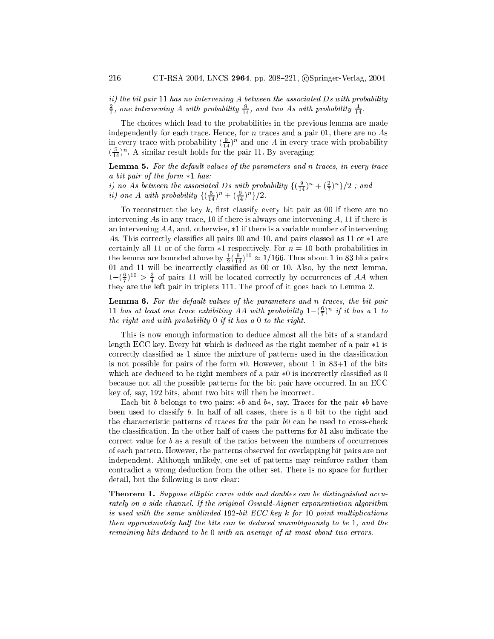ii) the bit pair 11 has no intervening A between the associated Ds with probability  $\frac{2}{7}$ , one intervening A with probability  $\frac{9}{14}$ , and two As with probability  $\frac{1}{14}$ .

The choices which lead to the probabilities in the previous lemma are made independently for each trace. Hence, for  $n$  traces and a pair 01, there are no As in every trace with probability  $(\frac{9}{14})^n$  and one A in every trace with probability  $(\frac{1}{14})^n$ . A similar result holds for the pair 11. By averaging:

Lemma 5. For the default values of the parameters and n traces, in every trace a bit pair of the form  $*1$  has:

i) no As between the associated Ds with probability  $\{(\frac{9}{14})^n + (\frac{2}{7})^n\}/2$  ; and *ii*) one A with probability  $\left\{ \left( \frac{5}{14} \right)^n + \left( \frac{9}{14} \right)^n \right\} / 2$ .

To reconstruct the key  $k$ , first classify every bit pair as 00 if there are no intervening As in any trace, 10 if there is always one intervening  $A$ , 11 if there is an intervening  $AA$ , and, otherwise,  $*1$  if there is a variable number of intervening As. This correctly classifies all pairs 00 and 10, and pairs classed as 11 or  $*1$  are certainly all 11 or of the form  $*1$  respectively. For  $n = 10$  both probabilities in the lemma are bounded above by  $\frac{1}{2}(\frac{9}{14})^{10} \approx 1/166$ . Thus about 1 in 83 bits pairs 01 and 11 will be in
orre
tly lassied as 00 or 10. Also, by the next lemma,  $1-(\frac{6}{7})^{10} > \frac{3}{4}$  of pairs 11 will be located correctly by occurrences of AA when 77 they are the left pair in triplets 111. The proof of it goes ba
k to Lemma 2.

Lemma 6. For the default values of the parameters and n traces, the bit pair 11 has at least one trace exhibiting AA with probability  $1-(\frac{6}{5})^n$  if it has a 1 to the right and with probability 0 if it has a 0 to the right.

This is now enough information to dedu
e almost all the bits of a standard length ECC key. Every bit which is deduced as the right member of a pair  $*1$  is correctly classified as 1 since the mixture of patterns used in the classification is not possible for pairs of the form  $*0$ . However, about 1 in 83+1 of the bits which are deduced to be right members of a pair  $*0$  is incorrectly classified as 0 because not all the possible patterns for the bit pair have occurred. In an ECC key of, say, 192 bits, about two bits will then be in
orre
t.

Each bit b belongs to two pairs:  $\ast b$  and  $b\ast$ , say. Traces for the pair  $\ast b$  have been used to classify  $b$ . In half of all cases, there is a 0 bit to the right and the characteristic patterns of traces for the pair  $b0$  can be used to cross-check the classification. In the other half of cases the patterns for b1 also indicate the correct value for  $b$  as a result of the ratios between the numbers of occurrences of ea
h pattern. However, the patterns observed for overlapping bit pairs are not independent. Although unlikely, one set of patterns may reinfor
e rather than ontradi
t a wrong dedu
tion from the other set. There is no spa
e for further detail, but the following is now lear:

**Theorem 1.** Suppose elliptic curve adds and doubles can be distinguished accurately on a side channel. If the original Oswald-Aigner exponentiation algorithm is used with the same unblinded  $192$ -bit ECC key k for 10 point multiplications then approximately half the bits an be dedu
ed unambiguously to be 1, and the remaining bits dedu
ed to be 0 with an average of at most about two errors.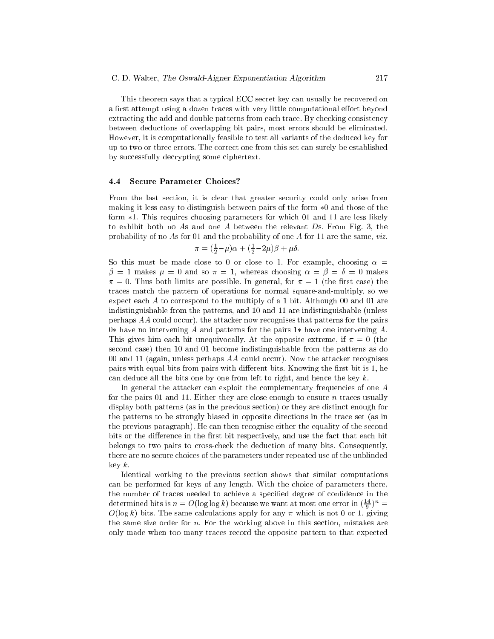This theorem says that a typical ECC secret key can usually be recovered on a first attempt using a dozen traces with very little computational effort beyond extracting the add and double patterns from each trace. By checking consistency between dedu
tions of overlapping bit pairs, most errors should be eliminated. However, it is omputationally feasible to test all variants of the dedu
ed key for up to two or three errors. The correct one from this set can surely be established by successfully decrypting some ciphertext.

## 4.4 Se
ure Parameter Choi
es?

From the last section, it is clear that greater security could only arise from making it less easy to distinguish between pairs of the form  $*0$  and those of the form  $*1$ . This requires choosing parameters for which 01 and 11 are less likely to exhibit both no As and one A between the relevant Ds. From Fig. 3, the probability of no As for 01 and the probability of one A for 11 are the same, viz.

$$
\pi = \left(\frac{1}{2} - \mu\right)\alpha + \left(\frac{1}{2} - 2\mu\right)\beta + \mu\delta.
$$

So this must be made close to 0 or close to 1. For example, choosing  $\alpha =$  $\beta = 1$  makes  $\mu = 0$  and so  $\pi = 1$ , whereas choosing  $\alpha = \beta = \delta = 0$  makes  $\pi = 0$ . Thus both limits are possible. In general, for  $\pi = 1$  (the first case) the tra
es mat
h the pattern of operations for normal square-and-multiply, so we expect each A to correspond to the multiply of a 1 bit. Although 00 and 01 are indistinguishable from the patterns, and 10 and 11 are indistinguishable (unless perhaps  $AA$  could occur), the attacker now recognises that patterns for the pairs  $0*$  have no intervening A and patterns for the pairs  $1*$  have one intervening A. This gives him each bit unequivocally. At the opposite extreme, if  $\pi = 0$  (the se
ond ase) then 10 and 01 be
ome indistinguishable from the patterns as do 00 and 11 (again, unless perhaps  $AA$  could occur). Now the attacker recognises pairs with equal bits from pairs with different bits. Knowing the first bit is 1, he can deduce all the bits one by one from left to right, and hence the key  $k$ .

In general the attacker can exploit the complementary frequencies of one A for the pairs 01 and 11. Either they are close enough to ensure  $n$  traces usually display both patterns (as in the previous section) or they are distinct enough for the patterns to be strongly biased in opposite directions in the trace set (as in the previous paragraph). He can then recognise either the equality of the second bits or the difference in the first bit respectively, and use the fact that each bit belongs to two pairs to cross-check the deduction of many bits. Consequently, there are no se
ure hoi
es of the parameters under repeated use of the unblinded  $key k$ .

Identical working to the previous section shows that similar computations an be performed for keys of any length. With the hoi
e of parameters there, the number of traces needed to achieve a specified degree of confidence in the determined bits is  $n = O(\log \log k)$  because we want at most one error in  $(\frac{14}{5})^n =$  $O(\log k)$  bits. The same calculations apply for any  $\pi$  which is not 0 or 1, giving the same size order for  $n$ . For the working above in this section, mistakes are only made when too many tra
es re
ord the opposite pattern to that expe
ted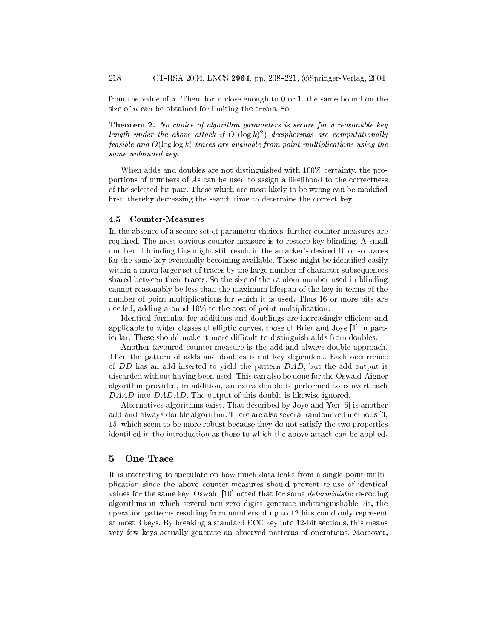from the value of  $\pi$ . Then, for  $\pi$  close enough to 0 or 1, the same bound on the size of  $n$  can be obtained for limiting the errors. So,

**Theorem 2.** No choice of algorithm parameters is secure for a reasonable key length under the above attack if  $O((\log k)^2)$  decipherings are computationally feasible and  $O(\log \log k)$  traces are available from point multiplications using the same unblinded key.

When adds and doubles are not distinguished with  $100\%$  certainty, the proportions of numbers of As can be used to assign a likelihood to the correctness of the sele
ted bit pair. Those whi
h are most likely to be wrong an be modied first, thereby decreasing the search time to determine the correct key.

#### 4.5 Counter-Measures

In the absence of a secure set of parameter choices, further counter-measures are required. The most obvious ounter-measure is to restore key blinding. A small number of blinding bits might still result in the attacker's desired 10 or so traces for the same key eventually becoming available. These might be identified easily within a much larger set of traces by the large number of character subsequences shared between their tra
es. So the size of the random number used in blinding annot reasonably be less than the maximum lifespan of the key in terms of the number of point multiplications for which it is used. Thus 16 or more bits are needed, adding around 10% to the cost of point multiplication.

Identical formulae for additions and doublings are increasingly efficient and applicable to wider classes of elliptic curves, those of Brier and Joye  $[1]$  in particular. These should make it more difficult to distinguish adds from doubles.

Another favoured ounter-measure is the add-and-always-double approa
h. Then the pattern of adds and doubles is not key dependent. Each occurrence of  $DD$  has an add inserted to yield the pattern  $DAD$ , but the add output is dis
arded without having been used. This an also be done for the Oswald-Aigner algorithm provided, in addition, an extra double is performed to convert each DAAD into DADAD. The output of this double is likewise ignored.

Alternatives algorithms exist. That described by Joye and Yen [5] is another add-and-always-double algorithm. There are also several randomized methods [3, 15 which seem to be more robust because they do not satisfy the two properties identified in the introduction as those to which the above attack can be applied.

# 5 One Tra
e

It is interesting to speculate on how much data leaks from a single point multiplication since the above counter-measures should prevent re-use of identical values for the same key. Oswald  $[10]$  noted that for some *deterministic* re-coding algorithms in whi
h several non-zero digits generate indistinguishable As, the operation patterns resulting from numbers of up to 12 bits ould only represent at most 3 keys. By breaking a standard ECC key into 12-bit se
tions, this means very few keys a
tually generate an observed patterns of operations. Moreover,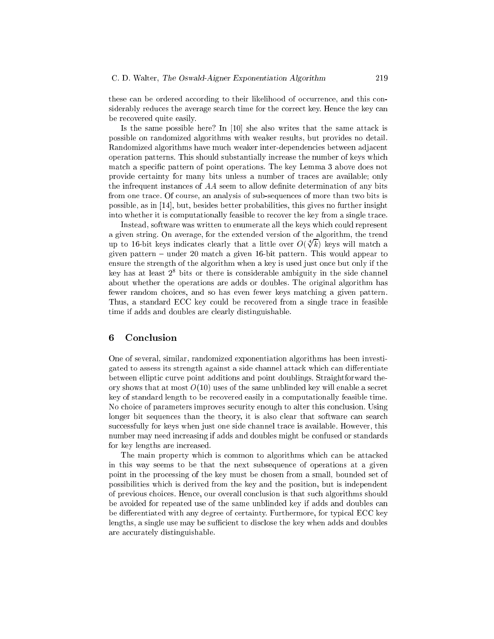these can be ordered according to their likelihood of occurrence, and this considerably reduces the average search time for the correct key. Hence the key can be re
overed quite easily.

Is the same possible here? In  $[10]$  she also writes that the same attack is possible on randomized algorithms with weaker results, but provides no detail. Randomized algorithms have much weaker inter-dependencies between adjacent operation patterns. This should substantially in
rease the number of keys whi
h match a specific pattern of point operations. The key Lemma 3 above does not provide ertainty for many bits unless a number of tra
es are available; only the infrequent instances of  $AA$  seem to allow definite determination of any bits from one tra
e. Of ourse, an analysis of sub-sequen
es of more than two bits is possible, as in  $[14]$ , but, besides better probabilities, this gives no further insight into whether it is omputationally feasible to re
over the key from a single tra
e.

Instead, software was written to enumerate all the keys which could represent a given string. On average, for the extended version of the algorithm, the trend up to 16-bit keys indicates clearly that a little over  $O(\sqrt[4]{k})$  keys will match a given pattern { under 20 mat
h a given 16-bit pattern. This would appear to ensure the strength of the algorithm when a key is used just once but only if the  $\,\mathrm{key}\,$  has at least  $Z^\ast$  bits or there is considerable ambiguity in the side channel about whether the operations are adds or doubles. The original algorithm has fewer random hoi
es, and so has even fewer keys mat
hing a given pattern. Thus, a standard ECC key could be recovered from a single trace in feasible time if adds and doubles are learly distinguishable.

# 6 Con
lusion

One of several, similar, randomized exponentiation algorithms has been investigated to assess its strength against a side channel attack which can differentiate between elliptic curve point additions and point doublings. Straightforward theory shows that at most  $O(10)$  uses of the same unblinded key will enable a secret key of standard length to be re
overed easily in a omputationally feasible time. No choice of parameters improves security enough to alter this conclusion. Using longer bit sequences than the theory, it is also clear that software can search successfully for keys when just one side channel trace is available. However, this number may need increasing if adds and doubles might be confused or standards for key lengths are increased. for key lengths are in
reased.

The main property whi
h is ommon to algorithms whi
h an be atta
ked in this way seems to be that the next subsequen
e of operations at a given point in the pro
essing of the key must be hosen from a small, bounded set of possibilities whi
h is derived from the key and the position, but is independent of previous hoi
es. Hen
e, our overall on
lusion is that su
h algorithms should be avoided for repeated use of the same unblinded key if adds and doubles an be differentiated with any degree of certainty. Furthermore, for typical ECC key lengths, a single use may be sufficient to disclose the key when adds and doubles are accurately distinguishable.